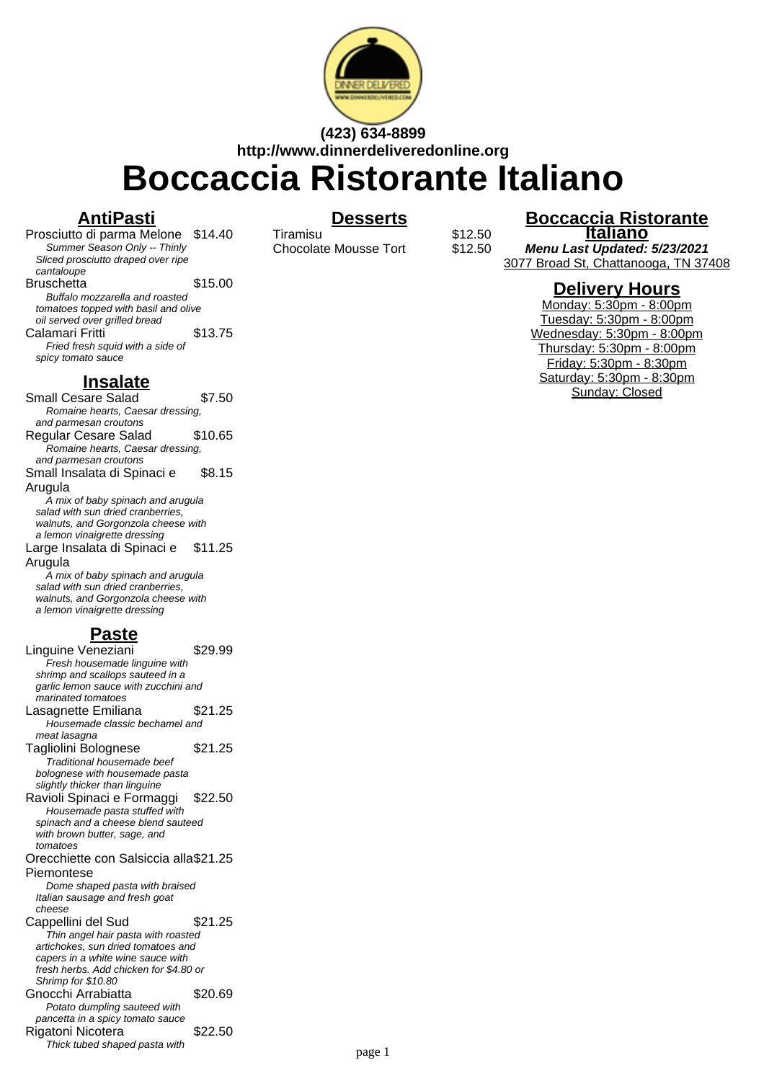

# **(423) 634-8899 http://www.dinnerdeliveredonline.org Boccaccia Ristorante Italiano**

### **AntiPasti**

Prosciutto di parma Melone \$14.40 Summer Season Only -- Thinly Sliced prosciutto draped over ripe cantaloupe Bruschetta \$15.00 Buffalo mozzarella and roasted tomatoes topped with basil and olive oil served over grilled bread Calamari Fritti **\$13.75** Fried fresh squid with a side of spicy tomato sauce

#### **Insalate**

Small Cesare Salad \$7.50 Romaine hearts, Caesar dressing, and parmesan croutons Regular Cesare Salad \$10.65 Romaine hearts, Caesar dressing, and parmesan croutons Small Insalata di Spinaci e Arugula \$8.15 A mix of baby spinach and arugula salad with sun dried cranberries, walnuts, and Gorgonzola cheese with a lemon vinaigrette dressing Large Insalata di Spinaci e Arugula \$11.25 A mix of baby spinach and arugula salad with sun dried cranberries,

walnuts, and Gorgonzola cheese with a lemon vinaigrette dressing

## **Paste**

Linguine Veneziani \$29.99 Fresh housemade linguine with shrimp and scallops sauteed in a garlic lemon sauce with zucchini and marinated tomatoes Lasagnette Emiliana \$21.25 Housemade classic bechamel and meat lasagna Tagliolini Bolognese \$21.25 Traditional housemade beef bolognese with housemade pasta slightly thicker than linguine Ravioli Spinaci e Formaggi \$22.50 Housemade pasta stuffed with spinach and a cheese blend sauteed with brown butter, sage, and tomatoes Orecchiette con Salsiccia alla \$21.25 Piemontese Dome shaped pasta with braised Italian sausage and fresh goat cheese Cappellini del Sud \$21.25 Thin angel hair pasta with roasted artichokes, sun dried tomatoes and capers in a white wine sauce with fresh herbs. Add chicken for \$4.80 or Shrimp for \$10.80 Gnocchi Arrabiatta \$20.69 Potato dumpling sauteed with pancetta in a spicy tomato sauce Rigatoni Nicotera \$22.50 Thick tubed shaped pasta with

### **Desserts**

Tiramisu **Warelet State**<br>Chocolate Mousse Tort \$12.50 Chocolate Mousse Tort

**Boccaccia Ristorante Italiano Menu Last Updated: 5/23/2021**

3077 Broad St, Chattanooga, TN 37408

#### **Delivery Hours**

Monday: 5:30pm - 8:00pm Tuesday: 5:30pm - 8:00pm Wednesday: 5:30pm - 8:00pm Thursday: 5:30pm - 8:00pm Friday: 5:30pm - 8:30pm Saturday: 5:30pm - 8:30pm Sunday: Closed